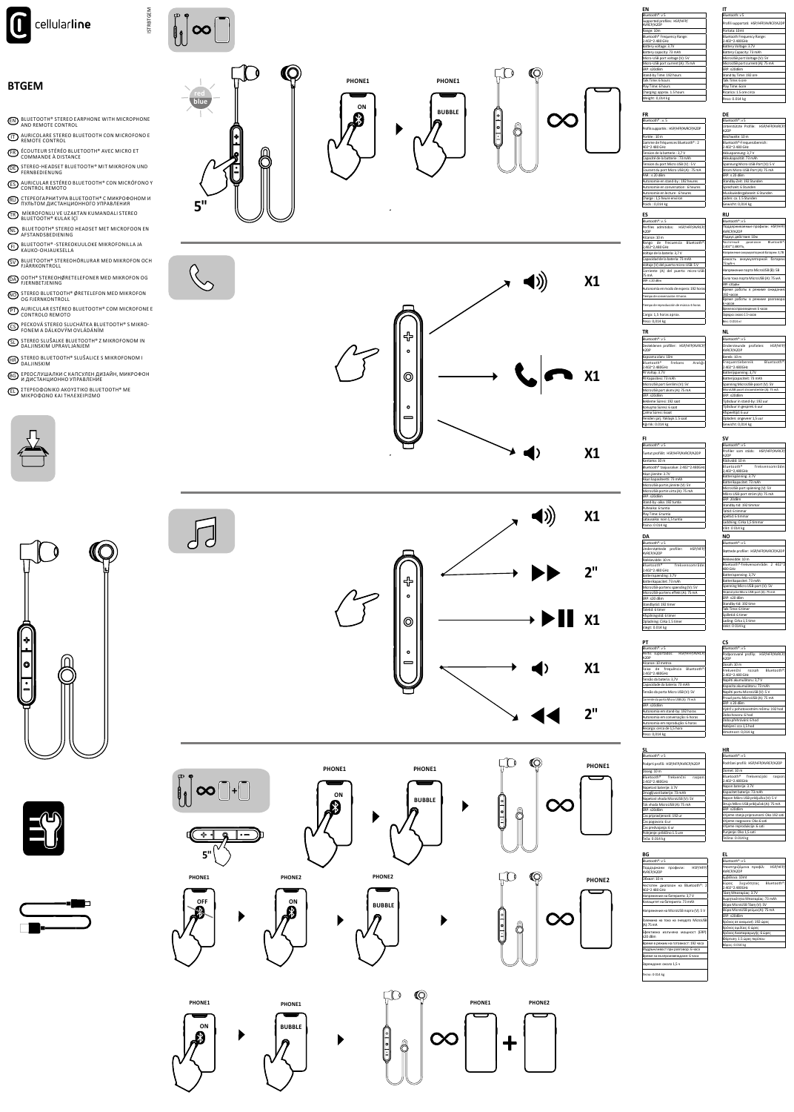







# **EL** ΣΤΕΡΕΟΦΩΝΙΚΟ ΑΚΟΥΣΤΙΚΟ BLUETOOTH® ΜΕ<br>ΜΙΚΡΟΦΩΝΟ ΚΑΙ ΤΗΛΕΧΕΙΡΙΣΜΟ

**66** ЕРЕОСЛУШАЛКИ С КАПСУЛЕН ДИЗАЙН, МИКРОФОН<br>И ДИСТАНЦИОННО УПРАВЛЕНИЕ

**(HR)** STEREO BLUETOOTH® SLUŠALICE S MIKROFONOM I

**GL** STEREO SLUŠALKE BLUETOOTH® Z MIKROFONOM IN<br>DALJINSKIM UPRAVLJANJEM

CS PECKOVÁ STEREO SLUCHÁTKA BLUETOOTH® S MIKRO-<br>FONEM A DÁLKOVÝM OVLÁDÁNÍM

**(PT)** AURICULAR ESTÉREO BLUETOOTH® COM MICROFONE E<br>CONTROLO REMOTO

**MO** STEREO BLUETOOTH®ØRETELEFON MED MIKROFON

**CA** COTH<sup>®</sup> STEREOHØRETELEFONER MED MIKROFON OG

 $\bigcirc$  Bluetooth® stereohörlurar med mikrofon och fjärrkontroll

EI) BLUETOOTH®-STEREOKUULOKE MIKROFONILLA JA

**(NL)** BLUETOOTH® STEREO HEADSET MET MICROFOON EN

**(TR)** MİKROFONLU VE UZAKTAN KUMANDALI STEREO<br>BLUETOOTH® KULAK İÇİ

RU CTEPEOГАРНИТУРА BLUETOOTH® С МИКРОФОНОМ И<br>ПУЛЬТОМ ДИСТАНЦИОННОГО УПРАВЛЕНИЯ

**ES** AURICULAR ESTÉREO BLUETOOTH® CON MICRÓFONO Y<br>CONTROL REMOTO

**QE** STEREO-HEADSET BLUETOOTH® MIT MIKROFON UND

**(FR)** ÉCOUTEUR STÉRÉO BLUETOOTH® AVEC MICRO ET<br>COMMANDE À DISTANCE

**(IT)** AURICOLARE STEREO BLUETOOTH CON MICROFONO E<br>REMOTE CONTROL

**EN BLUETOOTH® STEREO EARPHONE WITH MICROPHONE** 

## **BTGEM**



**ISTRBTGEM**  $\begin{bmatrix} 1 \\ 0 \\ 0 \end{bmatrix} \infty \begin{bmatrix} 1 \\ 0 \\ 0 \end{bmatrix}$ 

 $5"$ 

 $\mathbb{Q}$ 

 $\int d$ 

 $\begin{bmatrix} 0 & 0 \\ 0 & 0 \end{bmatrix} \infty \begin{bmatrix} 0 & 0 \\ 0 & 1 \end{bmatrix} + \begin{bmatrix} 0 & 0 \\ 0 & 0 \end{bmatrix}$ 

 $5<sup>1</sup>$ 

 $\overline{\mathbb{I}^{\mathbb{Z}}}$ 

 $\blacktriangleright$ 

 $\blacktriangleright$ 

a<br>P

**BUBBLE** 

 $\mathbb{C}^r$ 

இ

 $\boldsymbol{\mathsf{Q}}$ 



PHONE1

 $\blacktriangleright$ 

 $\blacktriangleright$ 

 $\blacktriangleright$ 

PHONE2

**BUBBLE** 

Ê













































PHONE1











 $X1$ 

 $2<sup>11</sup>$ 

 $X1$ 

 $X1$ 

 $2<sup>''</sup>$ 

**PHONE1** 

 $\infty$ 

 $\infty$ 

PHONE2

 $\mathbb{C}_{\overline{r}}$ 

 $\begin{matrix} \textbf{r} \\ \textbf{r} \end{matrix}$ 

Ô

8

 $\blacktriangleright$ 

 $\blacktriangleright$ 

 $\infty$